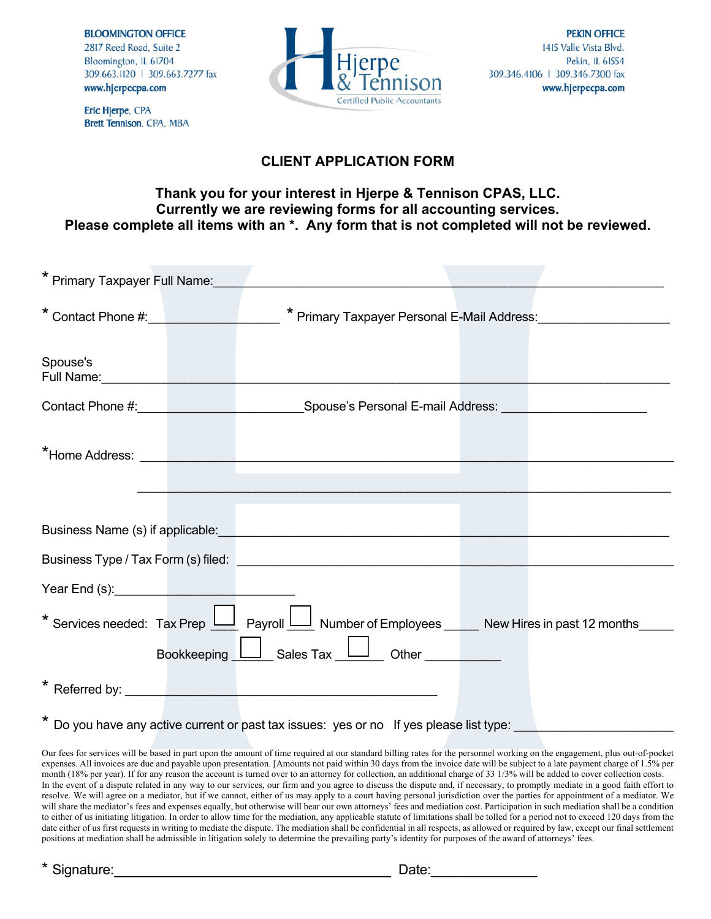**BLOOMINGTON OFFICE** 

2817 Reed Road, Suite 2 Bloomington, IL 61704 309.663.1120 | 309.663.7277 fax www.hjerpecpa.com



Eric Hjerpe, CPA Brett Tennison, CPA, MBA

## **CLIENT APPLICATION FORM**

## **Thank you for your interest in Hjerpe & Tennison CPAS, LLC. Currently we are reviewing forms for all accounting services. Please complete all items with an \*. Any form that is not completed will not be reviewed.**

| * Primary Taxpayer Full Name: |                                                                                                                                                                                                                                      |  |
|-------------------------------|--------------------------------------------------------------------------------------------------------------------------------------------------------------------------------------------------------------------------------------|--|
|                               | * Contact Phone #: * * Primary Taxpayer Personal E-Mail Address:                                                                                                                                                                     |  |
| Spouse's                      | Full Name: <u>Contract of Contract of Contract of Contract of Contract of Contract of Contract of Contract of Contract of Contract of Contract of Contract of Contract of Contract of Contract of Contract of Contract of Contra</u> |  |
|                               | Contact Phone #: Network: Spouse's Personal E-mail Address: Network: Network: Network: Network: Network: Network: Network: Network: Network: Network: Network: Network: Network: Network: Network: Network: Network: Network:        |  |
|                               | <b>*Home Address:</b> The Contract of The Contract of The Contract of The Contract of The Contract of The Contract of The Contract of The Contract of The Contract of The Contract of The Contract of The Contract of The Contract   |  |
|                               |                                                                                                                                                                                                                                      |  |
|                               | Business Name (s) if applicable: <u>contained a series of the series of the series of the series of the series of</u>                                                                                                                |  |
|                               |                                                                                                                                                                                                                                      |  |
|                               |                                                                                                                                                                                                                                      |  |
|                               | * Services needed: Tax Prep     Payroll   Number of Employees _ New Hires in past 12 months _ _ _                                                                                                                                    |  |
|                               | Bookkeeping <u>  Sales Tax   Jother</u> Other   New York                                                                                                                                                                             |  |
|                               |                                                                                                                                                                                                                                      |  |
|                               | * Do you have any active current or past tax issues: yes or no If yes please list type:                                                                                                                                              |  |

Our fees for services will be based in part upon the amount of time required at our standard billing rates for the personnel working on the engagement, plus out-of-pocket expenses. All invoices are due and payable upon presentation. [Amounts not paid within 30 days from the invoice date will be subject to a late payment charge of 1.5% per month (18% per year). If for any reason the account is turned over to an attorney for collection, an additional charge of 33 1/3% will be added to cover collection costs. In the event of a dispute related in any way to our services, our firm and you agree to discuss the dispute and, if necessary, to promptly mediate in a good faith effort to resolve. We will agree on a mediator, but if we cannot, either of us may apply to a court having personal jurisdiction over the parties for appointment of a mediator. We will share the mediator's fees and expenses equally, but otherwise will bear our own attorneys' fees and mediation cost. Participation in such mediation shall be a condition to either of us initiating litigation. In order to allow time for the mediation, any applicable statute of limitations shall be tolled for a period not to exceed 120 days from the date either of us first requests in writing to mediate the dispute. The mediation shall be confidential in all respects, as allowed or required by law, except our final settlement positions at mediation shall be admissible in litigation solely to determine the prevailing party's identity for purposes of the award of attorneys' fees.

\* Signature: Date:\_\_\_\_\_\_\_\_\_\_\_\_\_\_